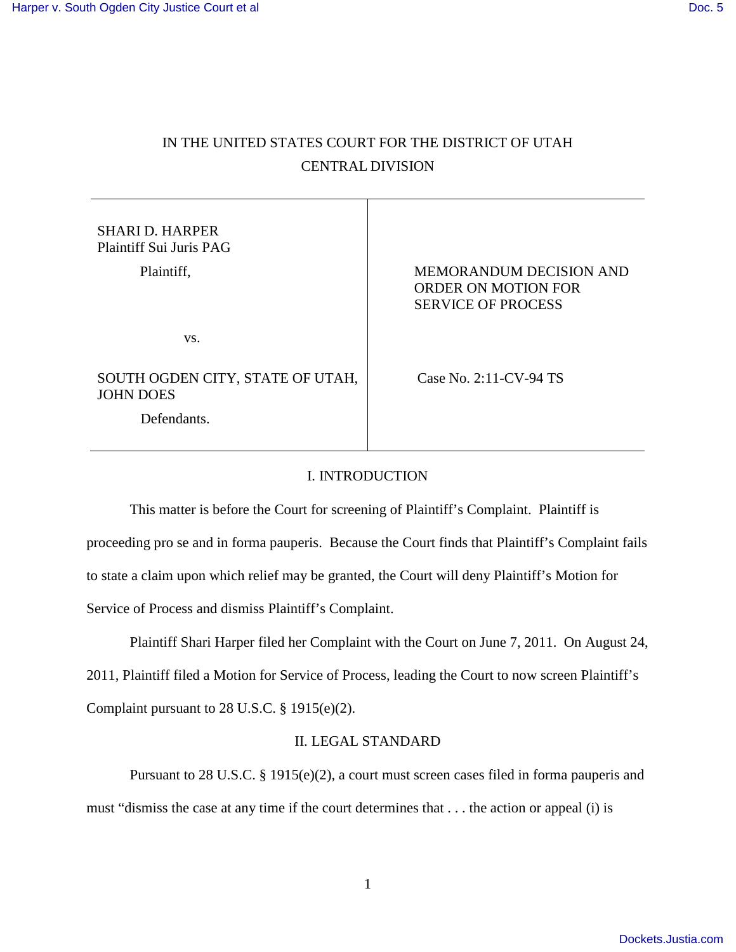# IN THE UNITED STATES COURT FOR THE DISTRICT OF UTAH CENTRAL DIVISION

| <b>SHARI D. HARPER</b><br>Plaintiff Sui Juris PAG<br>Plaintiff, | MEMORANDUM DECISION AND<br>ORDER ON MOTION FOR<br><b>SERVICE OF PROCESS</b> |
|-----------------------------------------------------------------|-----------------------------------------------------------------------------|
| VS.                                                             |                                                                             |
| SOUTH OGDEN CITY, STATE OF UTAH,<br><b>JOHN DOES</b>            | Case No. 2:11-CV-94 TS                                                      |
| Defendants.                                                     |                                                                             |

## I. INTRODUCTION

This matter is before the Court for screening of Plaintiff's Complaint. Plaintiff is proceeding pro se and in forma pauperis. Because the Court finds that Plaintiff's Complaint fails to state a claim upon which relief may be granted, the Court will deny Plaintiff's Motion for Service of Process and dismiss Plaintiff's Complaint.

Plaintiff Shari Harper filed her Complaint with the Court on June 7, 2011. On August 24,

2011, Plaintiff filed a Motion for Service of Process, leading the Court to now screen Plaintiff's

Complaint pursuant to 28 U.S.C. § 1915(e)(2).

## II. LEGAL STANDARD

 Pursuant to 28 U.S.C. § 1915(e)(2), a court must screen cases filed in forma pauperis and must "dismiss the case at any time if the court determines that . . . the action or appeal (i) is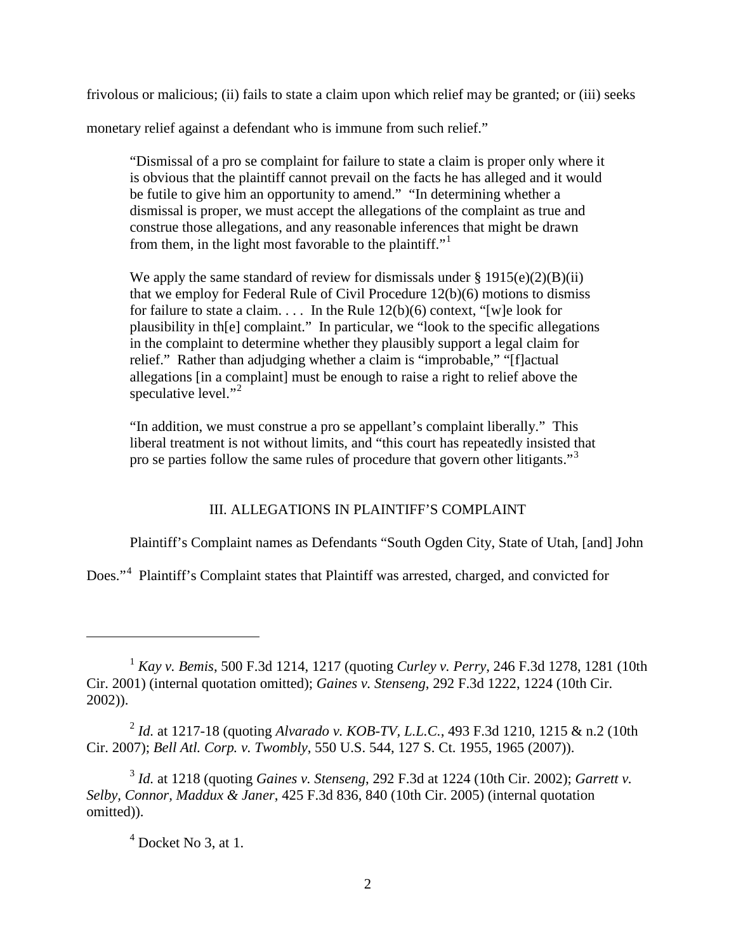frivolous or malicious; (ii) fails to state a claim upon which relief may be granted; or (iii) seeks

monetary relief against a defendant who is immune from such relief."

"Dismissal of a pro se complaint for failure to state a claim is proper only where it is obvious that the plaintiff cannot prevail on the facts he has alleged and it would be futile to give him an opportunity to amend." "In determining whether a dismissal is proper, we must accept the allegations of the complaint as true and construe those allegations, and any reasonable inferences that might be drawn from them, in the light most favorable to the plaintiff."

We apply the same standard of review for dismissals under  $\S 1915(e)(2)(B)(ii)$ that we employ for Federal Rule of Civil Procedure 12(b)(6) motions to dismiss for failure to state a claim. . . . In the Rule  $12(b)(6)$  context, "[w]e look for plausibility in th[e] complaint." In particular, we "look to the specific allegations in the complaint to determine whether they plausibly support a legal claim for relief." Rather than adjudging whether a claim is "improbable," "[f]actual allegations [in a complaint] must be enough to raise a right to relief above the speculative level."<sup>[2](#page-1-1)</sup>

"In addition, we must construe a pro se appellant's complaint liberally." This liberal treatment is not without limits, and "this court has repeatedly insisted that pro se parties follow the same rules of procedure that govern other litigants."[3](#page-1-2)

### III. ALLEGATIONS IN PLAINTIFF'S COMPLAINT

Plaintiff's Complaint names as Defendants "South Ogden City, State of Utah, [and] John

Does."<sup>[4](#page-1-3)</sup> Plaintiff's Complaint states that Plaintiff was arrested, charged, and convicted for

<span id="page-1-1"></span>2 *Id.* at 1217-18 (quoting *Alvarado v. KOB-TV, L.L.C.*, 493 F.3d 1210, 1215 & n.2 (10th Cir. 2007); *Bell Atl. Corp. v. Twombly*, 550 U.S. 544, 127 S. Ct. 1955, 1965 (2007)).

<span id="page-1-3"></span><span id="page-1-2"></span>3 *Id.* at 1218 (quoting *Gaines v. Stenseng*, 292 F.3d at 1224 (10th Cir. 2002); *Garrett v. Selby, Connor, Maddux & Janer*, 425 F.3d 836, 840 (10th Cir. 2005) (internal quotation omitted)).

## $<sup>4</sup>$  Docket No 3, at 1.</sup>

 $\overline{a}$ 

<span id="page-1-0"></span><sup>1</sup> *Kay v. Bemis*, 500 F.3d 1214, 1217 (quoting *Curley v. Perry*, 246 F.3d 1278, 1281 (10th Cir. 2001) (internal quotation omitted); *Gaines v. Stenseng*, 292 F.3d 1222, 1224 (10th Cir. 2002)).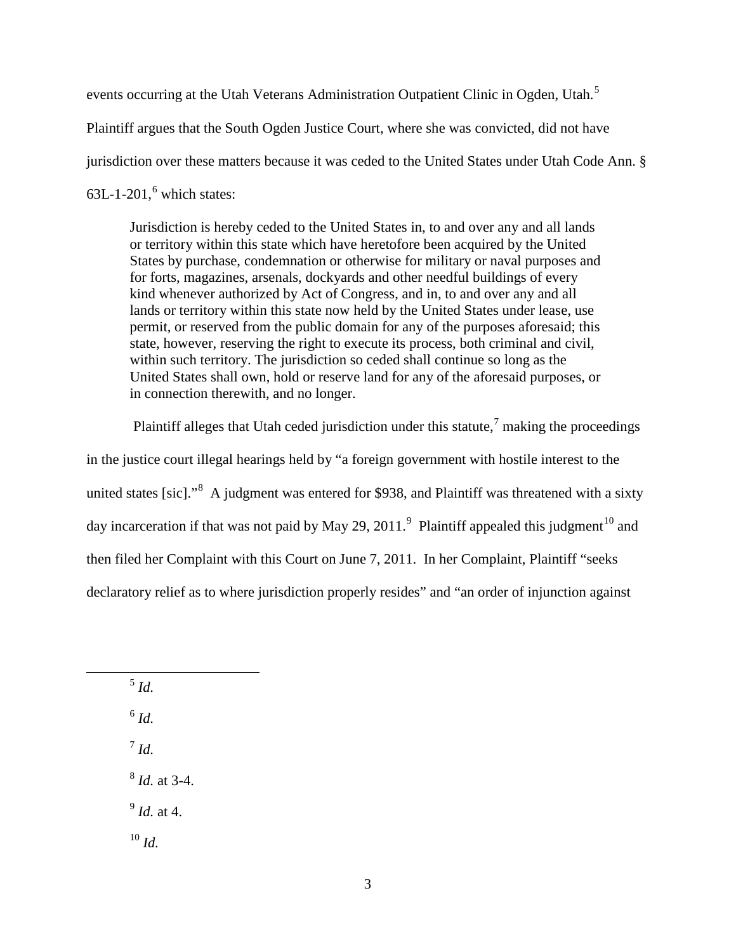events occurring at the Utah Veterans Administration Outpatient Clinic in Ogden, Utah.<sup>[5](#page-2-0)</sup> Plaintiff argues that the South Ogden Justice Court, where she was convicted, did not have jurisdiction over these matters because it was ceded to the United States under Utah Code Ann. §  $63L-1-201$  $63L-1-201$ , which states:

Jurisdiction is hereby ceded to the United States in, to and over any and all lands or territory within this state which have heretofore been acquired by the United States by purchase, condemnation or otherwise for military or naval purposes and for forts, magazines, arsenals, dockyards and other needful buildings of every kind whenever authorized by Act of Congress, and in, to and over any and all lands or territory within this state now held by the United States under lease, use permit, or reserved from the public domain for any of the purposes aforesaid; this state, however, reserving the right to execute its process, both criminal and civil, within such territory. The jurisdiction so ceded shall continue so long as the United States shall own, hold or reserve land for any of the aforesaid purposes, or in connection therewith, and no longer.

Plaintiff alleges that Utah ceded jurisdiction under this statute, $\frac{7}{1}$  $\frac{7}{1}$  $\frac{7}{1}$  making the proceedings in the justice court illegal hearings held by "a foreign government with hostile interest to the united states [sic]."<sup>[8](#page-2-3)</sup> A judgment was entered for \$938, and Plaintiff was threatened with a sixty day incarceration if that was not paid by May 2[9](#page-2-4), 2011.<sup>9</sup> Plaintiff appealed this judgment<sup>[10](#page-2-5)</sup> and then filed her Complaint with this Court on June 7, 2011. In her Complaint, Plaintiff "seeks declaratory relief as to where jurisdiction properly resides" and "an order of injunction against

5 *Id.*

<span id="page-2-2"></span><span id="page-2-1"></span><span id="page-2-0"></span><u>.</u>

6 *Id.*

7 *Id.*

<span id="page-2-3"></span>8 *Id.* at 3-4.

<span id="page-2-4"></span>9 *Id.* at 4.

<span id="page-2-5"></span> $10 \, \text{Id}$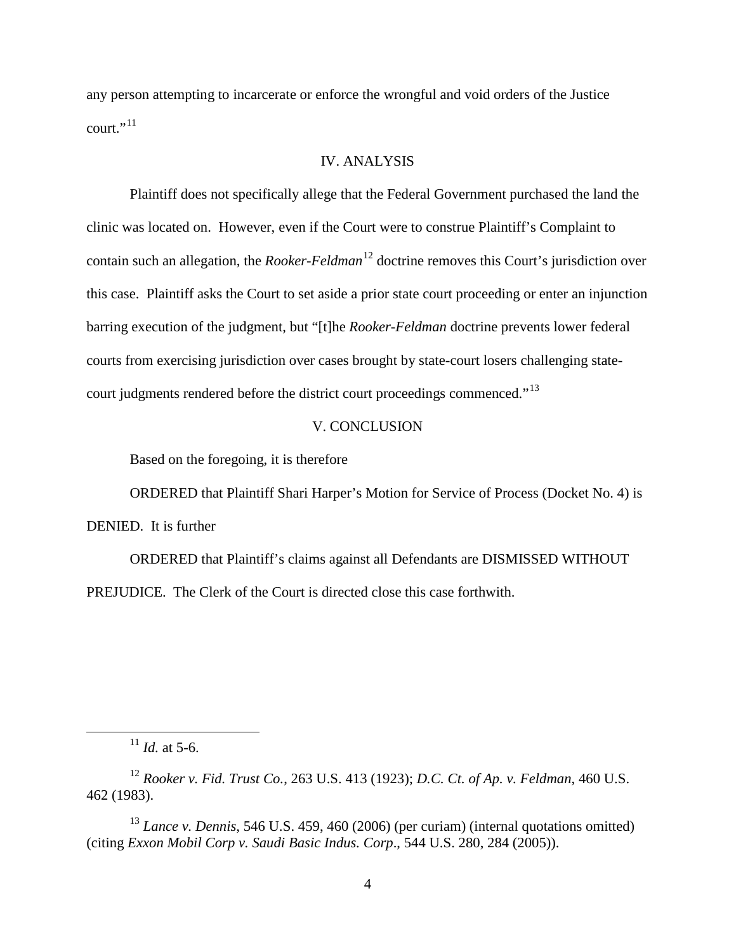any person attempting to incarcerate or enforce the wrongful and void orders of the Justice court." $^{11}$  $^{11}$  $^{11}$ 

#### IV. ANALYSIS

Plaintiff does not specifically allege that the Federal Government purchased the land the clinic was located on. However, even if the Court were to construe Plaintiff's Complaint to contain such an allegation, the *Rooker-Feldman*<sup>[12](#page-3-1)</sup> doctrine removes this Court's jurisdiction over this case. Plaintiff asks the Court to set aside a prior state court proceeding or enter an injunction barring execution of the judgment, but "[t]he *Rooker-Feldman* doctrine prevents lower federal courts from exercising jurisdiction over cases brought by state-court losers challenging state-court judgments rendered before the district court proceedings commenced."<sup>[13](#page-3-2)</sup>

#### V. CONCLUSION

Based on the foregoing, it is therefore

ORDERED that Plaintiff Shari Harper's Motion for Service of Process (Docket No. 4) is DENIED. It is further

ORDERED that Plaintiff's claims against all Defendants are DISMISSED WITHOUT PREJUDICE. The Clerk of the Court is directed close this case forthwith.

<sup>11</sup> *Id.* at 5-6.

-

<span id="page-3-1"></span><span id="page-3-0"></span><sup>12</sup> *Rooker v. Fid. Trust Co.*, 263 U.S. 413 (1923); *D.C. Ct. of Ap. v. Feldman*, 460 U.S. 462 (1983).

<span id="page-3-2"></span><sup>13</sup> *Lance v. Dennis*, 546 U.S. 459, 460 (2006) (per curiam) (internal quotations omitted) (citing *Exxon Mobil Corp v. Saudi Basic Indus. Corp*., 544 U.S. 280, 284 (2005)).